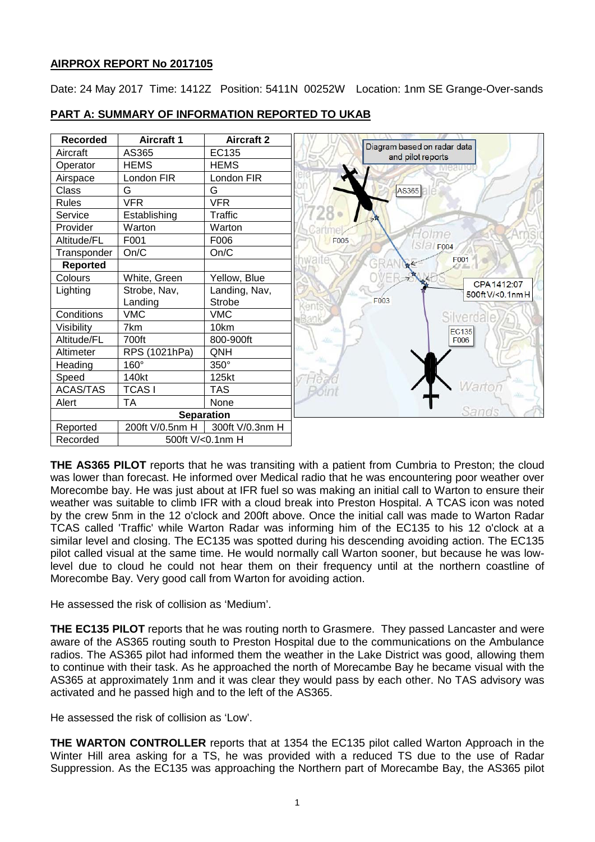## **AIRPROX REPORT No 2017105**

Date: 24 May 2017 Time: 1412Z Position: 5411N 00252W Location: 1nm SE Grange-Over-sands



# **PART A: SUMMARY OF INFORMATION REPORTED TO UKAB**

**THE AS365 PILOT** reports that he was transiting with a patient from Cumbria to Preston; the cloud was lower than forecast. He informed over Medical radio that he was encountering poor weather over Morecombe bay. He was just about at IFR fuel so was making an initial call to Warton to ensure their weather was suitable to climb IFR with a cloud break into Preston Hospital. A TCAS icon was noted by the crew 5nm in the 12 o'clock and 200ft above. Once the initial call was made to Warton Radar TCAS called 'Traffic' while Warton Radar was informing him of the EC135 to his 12 o'clock at a similar level and closing. The EC135 was spotted during his descending avoiding action. The EC135 pilot called visual at the same time. He would normally call Warton sooner, but because he was lowlevel due to cloud he could not hear them on their frequency until at the northern coastline of Morecombe Bay. Very good call from Warton for avoiding action.

He assessed the risk of collision as 'Medium'.

**THE EC135 PILOT** reports that he was routing north to Grasmere. They passed Lancaster and were aware of the AS365 routing south to Preston Hospital due to the communications on the Ambulance radios. The AS365 pilot had informed them the weather in the Lake District was good, allowing them to continue with their task. As he approached the north of Morecambe Bay he became visual with the AS365 at approximately 1nm and it was clear they would pass by each other. No TAS advisory was activated and he passed high and to the left of the AS365.

He assessed the risk of collision as 'Low'.

**THE WARTON CONTROLLER** reports that at 1354 the EC135 pilot called Warton Approach in the Winter Hill area asking for a TS, he was provided with a reduced TS due to the use of Radar Suppression. As the EC135 was approaching the Northern part of Morecambe Bay, the AS365 pilot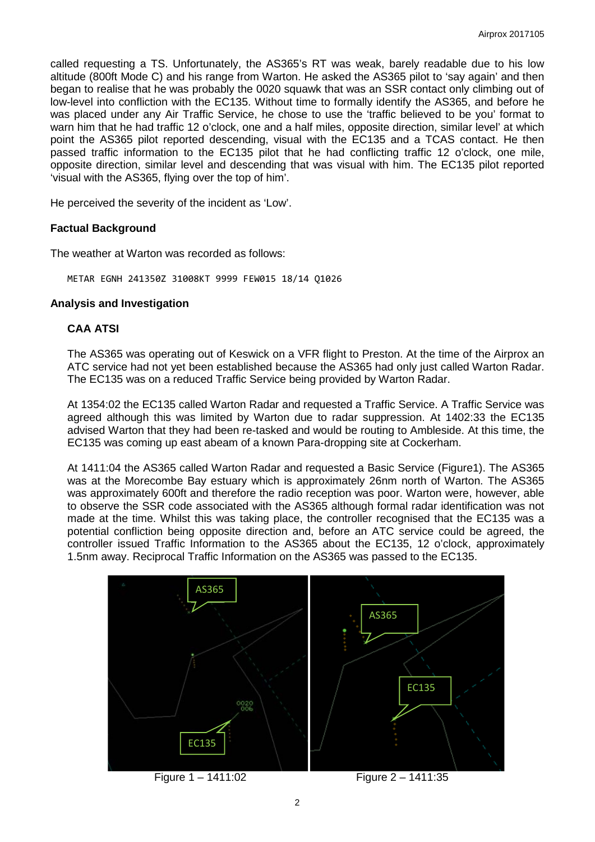called requesting a TS. Unfortunately, the AS365's RT was weak, barely readable due to his low altitude (800ft Mode C) and his range from Warton. He asked the AS365 pilot to 'say again' and then began to realise that he was probably the 0020 squawk that was an SSR contact only climbing out of low-level into confliction with the EC135. Without time to formally identify the AS365, and before he was placed under any Air Traffic Service, he chose to use the 'traffic believed to be you' format to warn him that he had traffic 12 o'clock, one and a half miles, opposite direction, similar level' at which point the AS365 pilot reported descending, visual with the EC135 and a TCAS contact. He then passed traffic information to the EC135 pilot that he had conflicting traffic 12 o'clock, one mile, opposite direction, similar level and descending that was visual with him. The EC135 pilot reported 'visual with the AS365, flying over the top of him'.

He perceived the severity of the incident as 'Low'.

#### **Factual Background**

The weather at Warton was recorded as follows:

METAR EGNH 241350Z 31008KT 9999 FEW015 18/14 Q1026

#### **Analysis and Investigation**

#### **CAA ATSI**

The AS365 was operating out of Keswick on a VFR flight to Preston. At the time of the Airprox an ATC service had not yet been established because the AS365 had only just called Warton Radar. The EC135 was on a reduced Traffic Service being provided by Warton Radar.

At 1354:02 the EC135 called Warton Radar and requested a Traffic Service. A Traffic Service was agreed although this was limited by Warton due to radar suppression. At 1402:33 the EC135 advised Warton that they had been re-tasked and would be routing to Ambleside. At this time, the EC135 was coming up east abeam of a known Para-dropping site at Cockerham.

At 1411:04 the AS365 called Warton Radar and requested a Basic Service (Figure1). The AS365 was at the Morecombe Bay estuary which is approximately 26nm north of Warton. The AS365 was approximately 600ft and therefore the radio reception was poor. Warton were, however, able to observe the SSR code associated with the AS365 although formal radar identification was not made at the time. Whilst this was taking place, the controller recognised that the EC135 was a potential confliction being opposite direction and, before an ATC service could be agreed, the controller issued Traffic Information to the AS365 about the EC135, 12 o'clock, approximately 1.5nm away. Reciprocal Traffic Information on the AS365 was passed to the EC135.

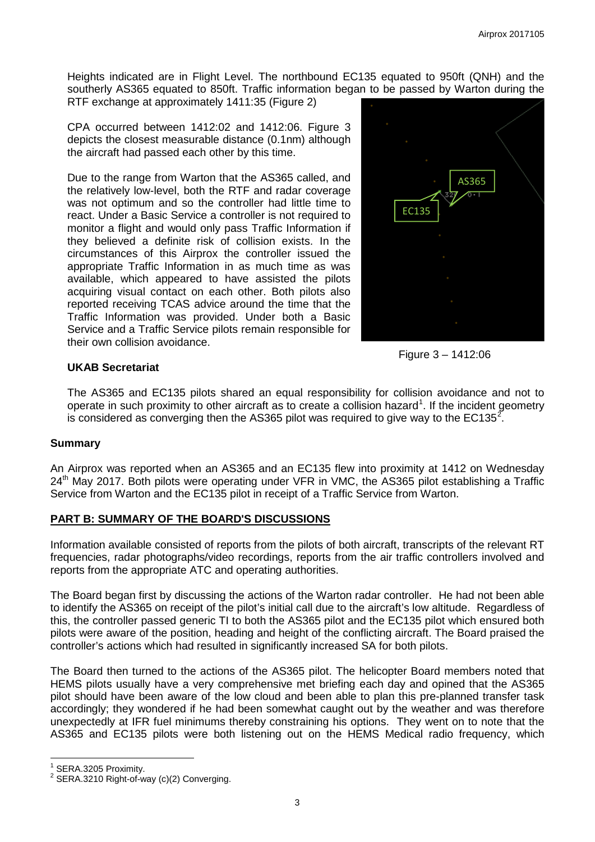Heights indicated are in Flight Level. The northbound EC135 equated to 950ft (QNH) and the southerly AS365 equated to 850ft. Traffic information began to be passed by Warton during the RTF exchange at approximately 1411:35 (Figure 2)

CPA occurred between 1412:02 and 1412:06. Figure 3 depicts the closest measurable distance (0.1nm) although the aircraft had passed each other by this time.

Due to the range from Warton that the AS365 called, and the relatively low-level, both the RTF and radar coverage was not optimum and so the controller had little time to react. Under a Basic Service a controller is not required to monitor a flight and would only pass Traffic Information if they believed a definite risk of collision exists. In the circumstances of this Airprox the controller issued the appropriate Traffic Information in as much time as was available, which appeared to have assisted the pilots acquiring visual contact on each other. Both pilots also reported receiving TCAS advice around the time that the Traffic Information was provided. Under both a Basic Service and a Traffic Service pilots remain responsible for their own collision avoidance.



Figure 3 – 1412:06

### **UKAB Secretariat**

The AS365 and EC135 pilots shared an equal responsibility for collision avoidance and not to operate in such proximity to other aircraft as to create a collision hazard<sup>[1](#page-2-0)</sup>. If the incident geometry is considered as converging then the AS365 pilot was required to give way to the EC135<sup>[2](#page-2-1)</sup>.

### **Summary**

An Airprox was reported when an AS365 and an EC135 flew into proximity at 1412 on Wednesday 24<sup>th</sup> May 2017. Both pilots were operating under VFR in VMC, the AS365 pilot establishing a Traffic Service from Warton and the EC135 pilot in receipt of a Traffic Service from Warton.

### **PART B: SUMMARY OF THE BOARD'S DISCUSSIONS**

Information available consisted of reports from the pilots of both aircraft, transcripts of the relevant RT frequencies, radar photographs/video recordings, reports from the air traffic controllers involved and reports from the appropriate ATC and operating authorities.

The Board began first by discussing the actions of the Warton radar controller. He had not been able to identify the AS365 on receipt of the pilot's initial call due to the aircraft's low altitude. Regardless of this, the controller passed generic TI to both the AS365 pilot and the EC135 pilot which ensured both pilots were aware of the position, heading and height of the conflicting aircraft. The Board praised the controller's actions which had resulted in significantly increased SA for both pilots.

The Board then turned to the actions of the AS365 pilot. The helicopter Board members noted that HEMS pilots usually have a very comprehensive met briefing each day and opined that the AS365 pilot should have been aware of the low cloud and been able to plan this pre-planned transfer task accordingly; they wondered if he had been somewhat caught out by the weather and was therefore unexpectedly at IFR fuel minimums thereby constraining his options. They went on to note that the AS365 and EC135 pilots were both listening out on the HEMS Medical radio frequency, which

<span id="page-2-1"></span><span id="page-2-0"></span>

<sup>&</sup>lt;sup>1</sup> SERA.3205 Proximity.<br><sup>2</sup> SERA.3210 Right-of-way (c)(2) Converging.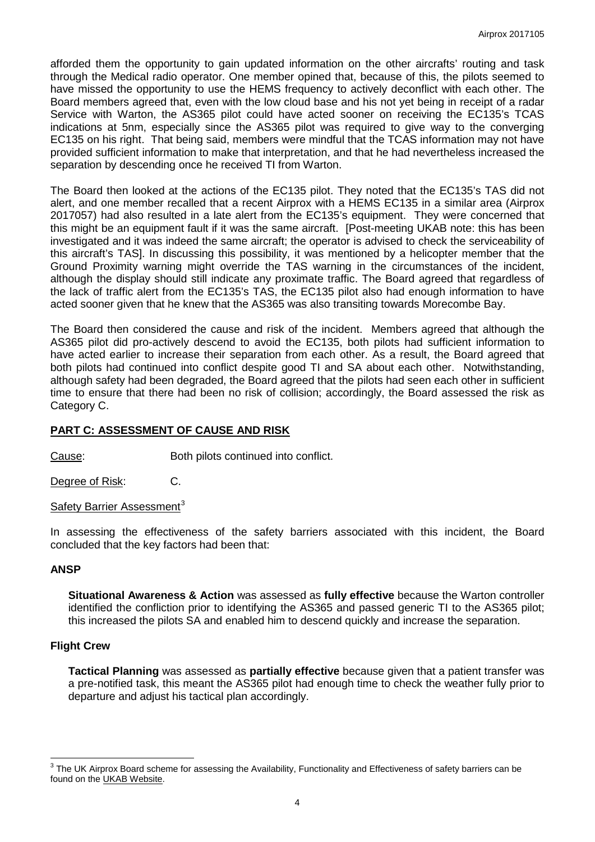afforded them the opportunity to gain updated information on the other aircrafts' routing and task through the Medical radio operator. One member opined that, because of this, the pilots seemed to have missed the opportunity to use the HEMS frequency to actively deconflict with each other. The Board members agreed that, even with the low cloud base and his not yet being in receipt of a radar Service with Warton, the AS365 pilot could have acted sooner on receiving the EC135's TCAS indications at 5nm, especially since the AS365 pilot was required to give way to the converging EC135 on his right. That being said, members were mindful that the TCAS information may not have provided sufficient information to make that interpretation, and that he had nevertheless increased the separation by descending once he received TI from Warton.

The Board then looked at the actions of the EC135 pilot. They noted that the EC135's TAS did not alert, and one member recalled that a recent Airprox with a HEMS EC135 in a similar area (Airprox 2017057) had also resulted in a late alert from the EC135's equipment. They were concerned that this might be an equipment fault if it was the same aircraft. [Post-meeting UKAB note: this has been investigated and it was indeed the same aircraft; the operator is advised to check the serviceability of this aircraft's TAS]. In discussing this possibility, it was mentioned by a helicopter member that the Ground Proximity warning might override the TAS warning in the circumstances of the incident, although the display should still indicate any proximate traffic. The Board agreed that regardless of the lack of traffic alert from the EC135's TAS, the EC135 pilot also had enough information to have acted sooner given that he knew that the AS365 was also transiting towards Morecombe Bay.

The Board then considered the cause and risk of the incident. Members agreed that although the AS365 pilot did pro-actively descend to avoid the EC135, both pilots had sufficient information to have acted earlier to increase their separation from each other. As a result, the Board agreed that both pilots had continued into conflict despite good TI and SA about each other. Notwithstanding, although safety had been degraded, the Board agreed that the pilots had seen each other in sufficient time to ensure that there had been no risk of collision; accordingly, the Board assessed the risk as Category C.

### **PART C: ASSESSMENT OF CAUSE AND RISK**

Cause: Both pilots continued into conflict.

Degree of Risk: C.

Safety Barrier Assessment<sup>[3](#page-3-0)</sup>

In assessing the effectiveness of the safety barriers associated with this incident, the Board concluded that the key factors had been that:

#### **ANSP**

**Situational Awareness & Action** was assessed as **fully effective** because the Warton controller identified the confliction prior to identifying the AS365 and passed generic TI to the AS365 pilot; this increased the pilots SA and enabled him to descend quickly and increase the separation.

#### **Flight Crew**

**Tactical Planning** was assessed as **partially effective** because given that a patient transfer was a pre-notified task, this meant the AS365 pilot had enough time to check the weather fully prior to departure and adjust his tactical plan accordingly.

<span id="page-3-0"></span> $3$  The UK Airprox Board scheme for assessing the Availability, Functionality and Effectiveness of safety barriers can be found on the [UKAB Website.](http://www.airproxboard.org.uk/Learn-more/Airprox-Barrier-Assessment/)